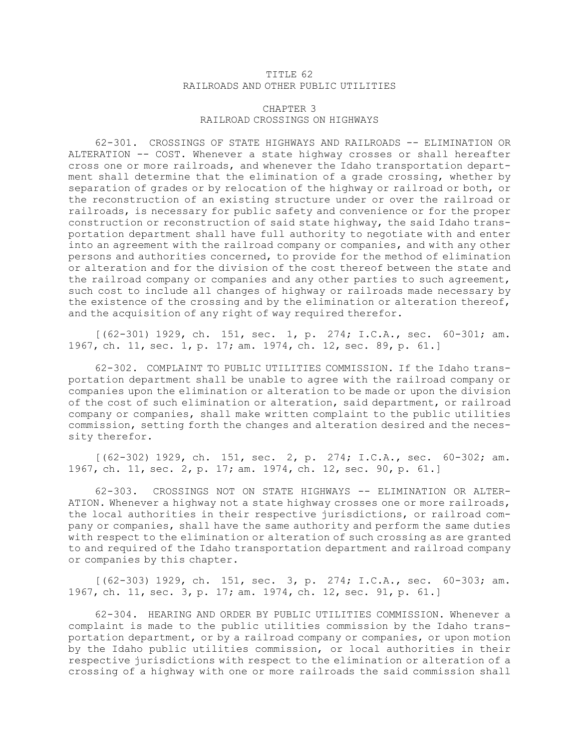## TITLE 62 RAILROADS AND OTHER PUBLIC UTILITIES

## CHAPTER 3 RAILROAD CROSSINGS ON HIGHWAYS

62-301. CROSSINGS OF STATE HIGHWAYS AND RAILROADS -- ELIMINATION OR ALTERATION -- COST. Whenever <sup>a</sup> state highway crosses or shall hereafter cross one or more railroads, and whenever the Idaho transportation department shall determine that the elimination of <sup>a</sup> grade crossing, whether by separation of grades or by relocation of the highway or railroad or both, or the reconstruction of an existing structure under or over the railroad or railroads, is necessary for public safety and convenience or for the proper construction or reconstruction of said state highway, the said Idaho transportation department shall have full authority to negotiate with and enter into an agreement with the railroad company or companies, and with any other persons and authorities concerned, to provide for the method of elimination or alteration and for the division of the cost thereof between the state and the railroad company or companies and any other parties to such agreement, such cost to include all changes of highway or railroads made necessary by the existence of the crossing and by the elimination or alteration thereof, and the acquisition of any right of way required therefor.

[(62-301) 1929, ch. 151, sec. 1, p. 274; I.C.A., sec. 60-301; am. 1967, ch. 11, sec. 1, p. 17; am. 1974, ch. 12, sec. 89, p. 61.]

62-302. COMPLAINT TO PUBLIC UTILITIES COMMISSION. If the Idaho transportation department shall be unable to agree with the railroad company or companies upon the elimination or alteration to be made or upon the division of the cost of such elimination or alteration, said department, or railroad company or companies, shall make written complaint to the public utilities commission, setting forth the changes and alteration desired and the necessity therefor.

[(62-302) 1929, ch. 151, sec. 2, p. 274; I.C.A., sec. 60-302; am. 1967, ch. 11, sec. 2, p. 17; am. 1974, ch. 12, sec. 90, p. 61.]

62-303. CROSSINGS NOT ON STATE HIGHWAYS -- ELIMINATION OR ALTER-ATION. Whenever <sup>a</sup> highway not <sup>a</sup> state highway crosses one or more railroads, the local authorities in their respective jurisdictions, or railroad company or companies, shall have the same authority and perform the same duties with respect to the elimination or alteration of such crossing as are granted to and required of the Idaho transportation department and railroad company or companies by this chapter.

[(62-303) 1929, ch. 151, sec. 3, p. 274; I.C.A., sec. 60-303; am. 1967, ch. 11, sec. 3, p. 17; am. 1974, ch. 12, sec. 91, p. 61.]

62-304. HEARING AND ORDER BY PUBLIC UTILITIES COMMISSION. Whenever a complaint is made to the public utilities commission by the Idaho transportation department, or by <sup>a</sup> railroad company or companies, or upon motion by the Idaho public utilities commission, or local authorities in their respective jurisdictions with respect to the elimination or alteration of <sup>a</sup> crossing of <sup>a</sup> highway with one or more railroads the said commission shall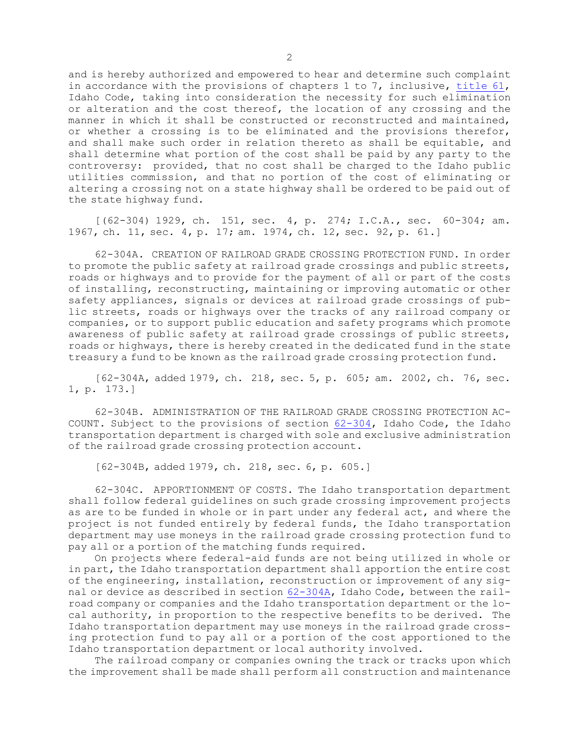and is hereby authorized and empowered to hear and determine such complaint in accordance with the provisions of chapters 1 to 7, inclusive, [title](https://legislature.idaho.gov/statutesrules/idstat/Title61/) 61, Idaho Code, taking into consideration the necessity for such elimination or alteration and the cost thereof, the location of any crossing and the manner in which it shall be constructed or reconstructed and maintained, or whether <sup>a</sup> crossing is to be eliminated and the provisions therefor, and shall make such order in relation thereto as shall be equitable, and shall determine what portion of the cost shall be paid by any party to the controversy: provided, that no cost shall be charged to the Idaho public utilities commission, and that no portion of the cost of eliminating or altering <sup>a</sup> crossing not on <sup>a</sup> state highway shall be ordered to be paid out of the state highway fund.

[(62-304) 1929, ch. 151, sec. 4, p. 274; I.C.A., sec. 60-304; am. 1967, ch. 11, sec. 4, p. 17; am. 1974, ch. 12, sec. 92, p. 61.]

62-304A. CREATION OF RAILROAD GRADE CROSSING PROTECTION FUND. In order to promote the public safety at railroad grade crossings and public streets, roads or highways and to provide for the payment of all or part of the costs of installing, reconstructing, maintaining or improving automatic or other safety appliances, signals or devices at railroad grade crossings of public streets, roads or highways over the tracks of any railroad company or companies, or to support public education and safety programs which promote awareness of public safety at railroad grade crossings of public streets, roads or highways, there is hereby created in the dedicated fund in the state treasury <sup>a</sup> fund to be known as the railroad grade crossing protection fund.

[62-304A, added 1979, ch. 218, sec. 5, p. 605; am. 2002, ch. 76, sec. 1, p. 173.]

62-304B. ADMINISTRATION OF THE RAILROAD GRADE CROSSING PROTECTION AC-COUNT. Subject to the provisions of section [62-304](https://legislature.idaho.gov/statutesrules/idstat/Title62/T62CH3/SECT62-304), Idaho Code, the Idaho transportation department is charged with sole and exclusive administration of the railroad grade crossing protection account.

[62-304B, added 1979, ch. 218, sec. 6, p. 605.]

62-304C. APPORTIONMENT OF COSTS. The Idaho transportation department shall follow federal guidelines on such grade crossing improvement projects as are to be funded in whole or in part under any federal act, and where the project is not funded entirely by federal funds, the Idaho transportation department may use moneys in the railroad grade crossing protection fund to pay all or <sup>a</sup> portion of the matching funds required.

On projects where federal-aid funds are not being utilized in whole or in part, the Idaho transportation department shall apportion the entire cost of the engineering, installation, reconstruction or improvement of any signal or device as described in section [62-304A](https://legislature.idaho.gov/statutesrules/idstat/Title62/T62CH3/SECT62-304A), Idaho Code, between the railroad company or companies and the Idaho transportation department or the local authority, in proportion to the respective benefits to be derived. The Idaho transportation department may use moneys in the railroad grade crossing protection fund to pay all or <sup>a</sup> portion of the cost apportioned to the Idaho transportation department or local authority involved.

The railroad company or companies owning the track or tracks upon which the improvement shall be made shall perform all construction and maintenance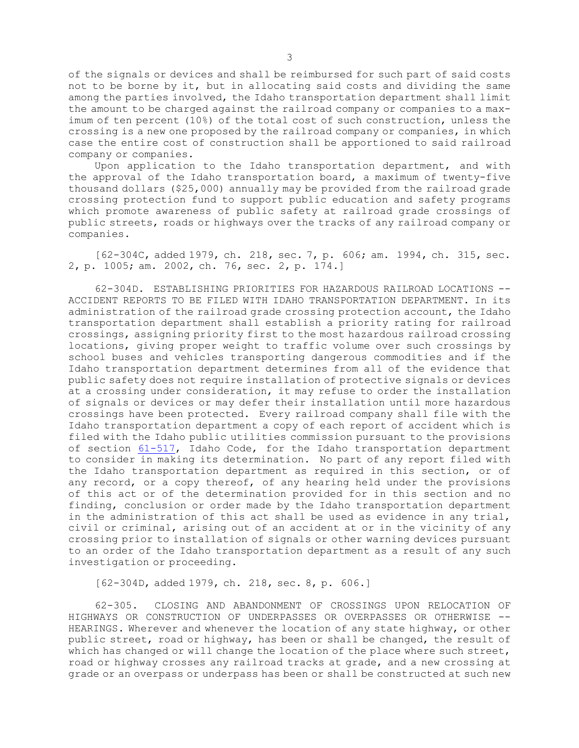of the signals or devices and shall be reimbursed for such part of said costs not to be borne by it, but in allocating said costs and dividing the same among the parties involved, the Idaho transportation department shall limit the amount to be charged against the railroad company or companies to <sup>a</sup> maximum of ten percent (10%) of the total cost of such construction, unless the crossing is <sup>a</sup> new one proposed by the railroad company or companies, in which case the entire cost of construction shall be apportioned to said railroad company or companies.

Upon application to the Idaho transportation department, and with the approval of the Idaho transportation board, <sup>a</sup> maximum of twenty-five thousand dollars (\$25,000) annually may be provided from the railroad grade crossing protection fund to support public education and safety programs which promote awareness of public safety at railroad grade crossings of public streets, roads or highways over the tracks of any railroad company or companies.

[62-304C, added 1979, ch. 218, sec. 7, p. 606; am. 1994, ch. 315, sec. 2, p. 1005; am. 2002, ch. 76, sec. 2, p. 174.]

62-304D. ESTABLISHING PRIORITIES FOR HAZARDOUS RAILROAD LOCATIONS -- ACCIDENT REPORTS TO BE FILED WITH IDAHO TRANSPORTATION DEPARTMENT. In its administration of the railroad grade crossing protection account, the Idaho transportation department shall establish <sup>a</sup> priority rating for railroad crossings, assigning priority first to the most hazardous railroad crossing locations, giving proper weight to traffic volume over such crossings by school buses and vehicles transporting dangerous commodities and if the Idaho transportation department determines from all of the evidence that public safety does not require installation of protective signals or devices at <sup>a</sup> crossing under consideration, it may refuse to order the installation of signals or devices or may defer their installation until more hazardous crossings have been protected. Every railroad company shall file with the Idaho transportation department <sup>a</sup> copy of each report of accident which is filed with the Idaho public utilities commission pursuant to the provisions of section [61-517](https://legislature.idaho.gov/statutesrules/idstat/Title61/T61CH5/SECT61-517), Idaho Code, for the Idaho transportation department to consider in making its determination. No part of any report filed with the Idaho transportation department as required in this section, or of any record, or <sup>a</sup> copy thereof, of any hearing held under the provisions of this act or of the determination provided for in this section and no finding, conclusion or order made by the Idaho transportation department in the administration of this act shall be used as evidence in any trial, civil or criminal, arising out of an accident at or in the vicinity of any crossing prior to installation of signals or other warning devices pursuant to an order of the Idaho transportation department as <sup>a</sup> result of any such investigation or proceeding.

[62-304D, added 1979, ch. 218, sec. 8, p. 606.]

62-305. CLOSING AND ABANDONMENT OF CROSSINGS UPON RELOCATION OF HIGHWAYS OR CONSTRUCTION OF UNDERPASSES OR OVERPASSES OR OTHERWISE -- HEARINGS. Wherever and whenever the location of any state highway, or other public street, road or highway, has been or shall be changed, the result of which has changed or will change the location of the place where such street, road or highway crosses any railroad tracks at grade, and <sup>a</sup> new crossing at grade or an overpass or underpass has been or shall be constructed at such new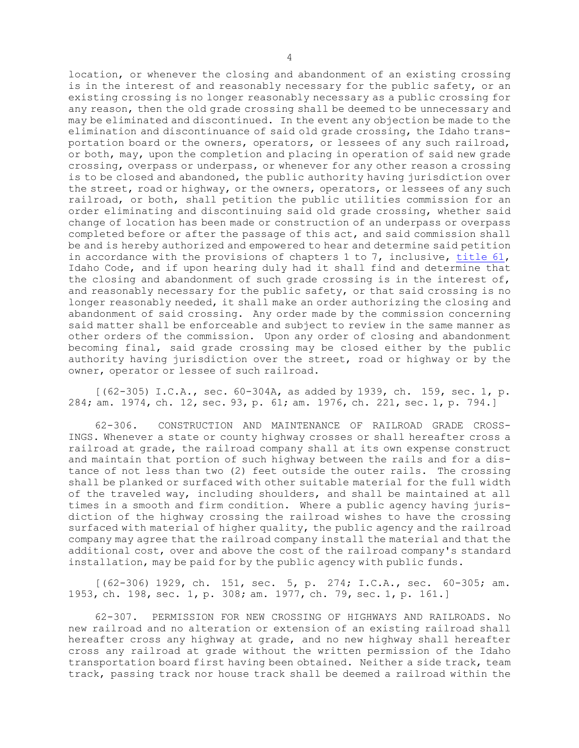location, or whenever the closing and abandonment of an existing crossing is in the interest of and reasonably necessary for the public safety, or an existing crossing is no longer reasonably necessary as <sup>a</sup> public crossing for any reason, then the old grade crossing shall be deemed to be unnecessary and may be eliminated and discontinued. In the event any objection be made to the elimination and discontinuance of said old grade crossing, the Idaho transportation board or the owners, operators, or lessees of any such railroad, or both, may, upon the completion and placing in operation of said new grade crossing, overpass or underpass, or whenever for any other reason <sup>a</sup> crossing is to be closed and abandoned, the public authority having jurisdiction over the street, road or highway, or the owners, operators, or lessees of any such railroad, or both, shall petition the public utilities commission for an order eliminating and discontinuing said old grade crossing, whether said change of location has been made or construction of an underpass or overpass completed before or after the passage of this act, and said commission shall be and is hereby authorized and empowered to hear and determine said petition in accordance with the provisions of chapters 1 to 7, inclusive, [title](https://legislature.idaho.gov/statutesrules/idstat/Title61/) 61, Idaho Code, and if upon hearing duly had it shall find and determine that the closing and abandonment of such grade crossing is in the interest of, and reasonably necessary for the public safety, or that said crossing is no longer reasonably needed, it shall make an order authorizing the closing and abandonment of said crossing. Any order made by the commission concerning said matter shall be enforceable and subject to review in the same manner as other orders of the commission. Upon any order of closing and abandonment becoming final, said grade crossing may be closed either by the public authority having jurisdiction over the street, road or highway or by the owner, operator or lessee of such railroad.

 $(62-305)$  I.C.A., sec. 60-304A, as added by 1939, ch. 159, sec. 1, p. 284; am. 1974, ch. 12, sec. 93, p. 61; am. 1976, ch. 221, sec. 1, p. 794.]

62-306. CONSTRUCTION AND MAINTENANCE OF RAILROAD GRADE CROSS-INGS. Whenever <sup>a</sup> state or county highway crosses or shall hereafter cross <sup>a</sup> railroad at grade, the railroad company shall at its own expense construct and maintain that portion of such highway between the rails and for <sup>a</sup> distance of not less than two (2) feet outside the outer rails. The crossing shall be planked or surfaced with other suitable material for the full width of the traveled way, including shoulders, and shall be maintained at all times in <sup>a</sup> smooth and firm condition. Where <sup>a</sup> public agency having jurisdiction of the highway crossing the railroad wishes to have the crossing surfaced with material of higher quality, the public agency and the railroad company may agree that the railroad company install the material and that the additional cost, over and above the cost of the railroad company's standard installation, may be paid for by the public agency with public funds.

[(62-306) 1929, ch. 151, sec. 5, p. 274; I.C.A., sec. 60-305; am. 1953, ch. 198, sec. 1, p. 308; am. 1977, ch. 79, sec. 1, p. 161.]

62-307. PERMISSION FOR NEW CROSSING OF HIGHWAYS AND RAILROADS. No new railroad and no alteration or extension of an existing railroad shall hereafter cross any highway at grade, and no new highway shall hereafter cross any railroad at grade without the written permission of the Idaho transportation board first having been obtained. Neither <sup>a</sup> side track, team track, passing track nor house track shall be deemed <sup>a</sup> railroad within the